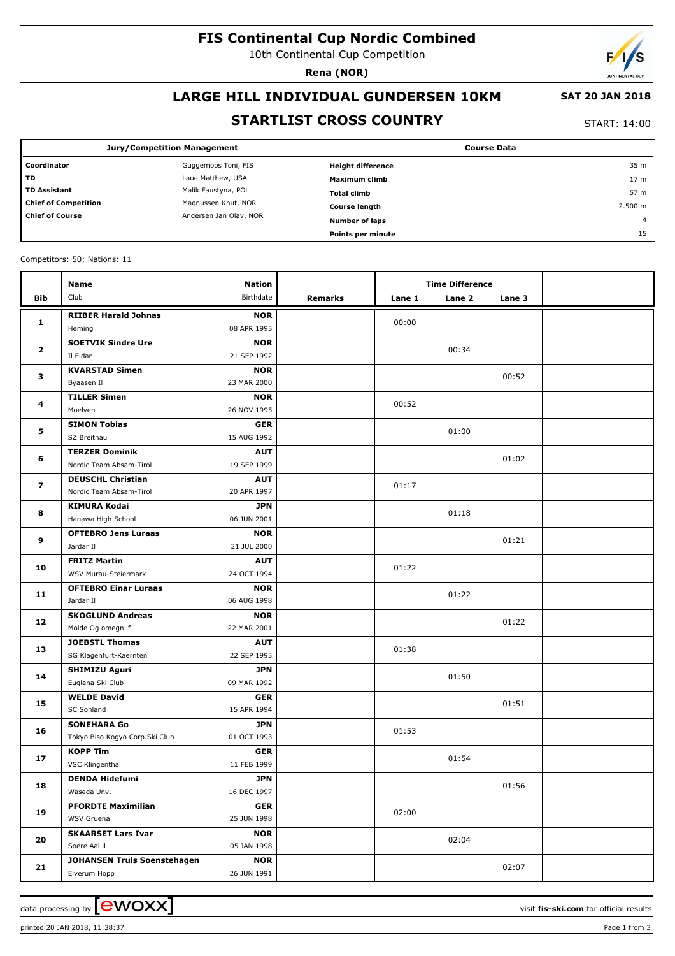# **FIS Continental Cup Nordic Combined**

10th Continental Cup Competition

**Rena (NOR)**

# **LARGE HILL INDIVIDUAL GUNDERSEN 10KM**

#### **SAT 20 JAN 2018**

## **STARTLIST CROSS COUNTRY**

START: 14:00

|                             | <b>Jury/Competition Management</b> | <b>Course Data</b>       |                 |  |  |
|-----------------------------|------------------------------------|--------------------------|-----------------|--|--|
| Coordinator                 | Guggemoos Toni, FIS                | <b>Height difference</b> | 35 m            |  |  |
| <b>TD</b>                   | Laue Matthew, USA                  | Maximum climb            | 17 <sub>m</sub> |  |  |
| <b>TD Assistant</b>         | Malik Faustyna, POL                | <b>Total climb</b>       | 57 m            |  |  |
| <b>Chief of Competition</b> | Magnussen Knut, NOR                | <b>Course length</b>     | 2.500 m         |  |  |
| <b>Chief of Course</b>      | Andersen Jan Olav, NOR             | Number of laps           | $\overline{4}$  |  |  |
|                             |                                    | Points per minute        | 15              |  |  |

Competitors: 50; Nations: 11

|                         | <b>Name</b>                             | <b>Nation</b>             |         |        | <b>Time Difference</b> |        |  |
|-------------------------|-----------------------------------------|---------------------------|---------|--------|------------------------|--------|--|
| <b>Bib</b>              | Club                                    | Birthdate                 | Remarks | Lane 1 | Lane 2                 | Lane 3 |  |
| 1                       | <b>RIIBER Harald Johnas</b>             | <b>NOR</b>                |         |        |                        |        |  |
|                         | Heming                                  | 08 APR 1995               |         | 00:00  |                        |        |  |
| $\mathbf{2}$            | <b>SOETVIK Sindre Ure</b>               | <b>NOR</b>                |         |        | 00:34                  |        |  |
|                         | Il Eldar                                | 21 SEP 1992               |         |        |                        |        |  |
| 3                       | <b>KVARSTAD Simen</b>                   | <b>NOR</b>                |         |        |                        | 00:52  |  |
|                         | Byaasen Il                              | 23 MAR 2000               |         |        |                        |        |  |
| 4                       | <b>TILLER Simen</b>                     | <b>NOR</b>                |         | 00:52  |                        |        |  |
|                         | Moelven                                 | 26 NOV 1995               |         |        |                        |        |  |
| 5                       | <b>SIMON Tobias</b>                     | <b>GER</b>                |         |        | 01:00                  |        |  |
|                         | SZ Breitnau                             | 15 AUG 1992               |         |        |                        |        |  |
| 6                       | <b>TERZER Dominik</b>                   | <b>AUT</b>                |         |        |                        | 01:02  |  |
|                         | Nordic Team Absam-Tirol                 | 19 SEP 1999               |         |        |                        |        |  |
| $\overline{\mathbf{z}}$ | <b>DEUSCHL Christian</b>                | <b>AUT</b>                |         | 01:17  |                        |        |  |
|                         | Nordic Team Absam-Tirol                 | 20 APR 1997               |         |        |                        |        |  |
| 8                       | <b>KIMURA Kodai</b>                     | <b>JPN</b>                |         |        | 01:18                  |        |  |
|                         | Hanawa High School                      | 06 JUN 2001               |         |        |                        |        |  |
| 9                       | <b>OFTEBRO Jens Luraas</b><br>Jardar II | <b>NOR</b>                |         |        |                        | 01:21  |  |
|                         | <b>FRITZ Martin</b>                     | 21 JUL 2000               |         |        |                        |        |  |
| 10                      | WSV Murau-Steiermark                    | <b>AUT</b><br>24 OCT 1994 |         | 01:22  |                        |        |  |
|                         | <b>OFTEBRO Einar Luraas</b>             | <b>NOR</b>                |         |        |                        |        |  |
| 11                      | Jardar II                               | 06 AUG 1998               |         | 01:22  |                        |        |  |
|                         | <b>SKOGLUND Andreas</b>                 | <b>NOR</b>                |         |        |                        |        |  |
| 12                      | Molde Og omegn if                       | 22 MAR 2001               |         |        |                        | 01:22  |  |
|                         | <b>JOEBSTL Thomas</b>                   | <b>AUT</b>                |         |        |                        |        |  |
| 13                      | SG Klagenfurt-Kaernten                  | 22 SEP 1995               |         | 01:38  |                        |        |  |
|                         | <b>SHIMIZU Aguri</b>                    | <b>JPN</b>                |         |        |                        |        |  |
| 14                      | Euglena Ski Club                        | 09 MAR 1992               |         |        | 01:50                  |        |  |
|                         | <b>WELDE David</b>                      | <b>GER</b>                |         |        |                        |        |  |
| 15                      | <b>SC Sohland</b>                       | 15 APR 1994               |         |        |                        | 01:51  |  |
|                         | <b>SONEHARA Go</b>                      | <b>JPN</b>                |         |        |                        |        |  |
| 16                      | Tokyo Biso Kogyo Corp.Ski Club          | 01 OCT 1993               |         | 01:53  |                        |        |  |
|                         | <b>KOPP Tim</b>                         | <b>GER</b>                |         |        |                        |        |  |
| 17                      | VSC Klingenthal                         | 11 FEB 1999               |         | 01:54  |                        |        |  |
|                         | <b>DENDA Hidefumi</b>                   | <b>JPN</b>                |         |        |                        |        |  |
| 18                      | Waseda Unv.                             | 16 DEC 1997               |         | 01:56  |                        |        |  |
| 19                      | <b>PFORDTE Maximilian</b>               | <b>GER</b>                |         | 02:00  |                        |        |  |
|                         | WSV Gruena.                             | 25 JUN 1998               |         |        |                        |        |  |
| 20                      | <b>SKAARSET Lars Ivar</b>               | <b>NOR</b>                |         |        | 02:04                  |        |  |
|                         | Soere Aal il                            | 05 JAN 1998               |         |        |                        |        |  |
| 21                      | <b>JOHANSEN Truls Soenstehagen</b>      | <b>NOR</b>                |         |        |                        | 02:07  |  |
|                         | Elverum Hopp                            | 26 JUN 1991               |         |        |                        |        |  |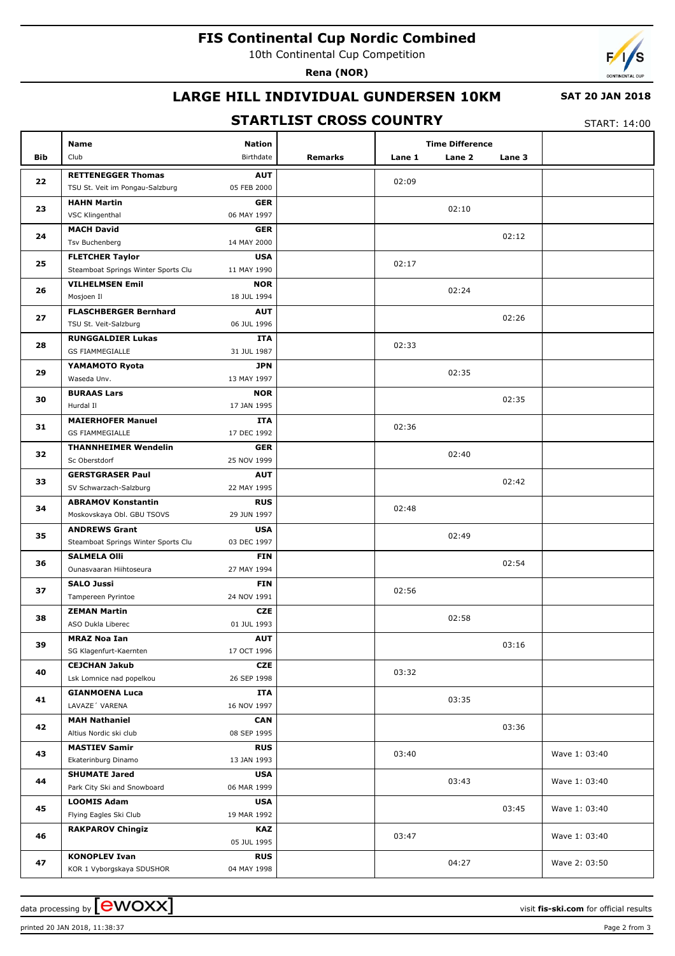# **FIS Continental Cup Nordic Combined**

10th Continental Cup Competition

**Rena (NOR)**



## **LARGE HILL INDIVIDUAL GUNDERSEN 10KM**

#### **SAT 20 JAN 2018**

### **STARTLIST CROSS COUNTRY**

START: 14:00

|          | <b>Name</b><br>Club                                   | <b>Nation</b><br>Birthdate |         | <b>Time Difference</b> |        |               |
|----------|-------------------------------------------------------|----------------------------|---------|------------------------|--------|---------------|
| Bib      |                                                       |                            | Remarks | Lane 1<br>Lane 2       | Lane 3 |               |
| 22       | <b>RETTENEGGER Thomas</b>                             | <b>AUT</b>                 |         | 02:09                  |        |               |
|          | TSU St. Veit im Pongau-Salzburg                       | 05 FEB 2000                |         |                        |        |               |
| 23       | <b>HAHN Martin</b>                                    | <b>GER</b>                 |         | 02:10                  |        |               |
|          | VSC Klingenthal                                       | 06 MAY 1997                |         |                        |        |               |
| 24       | <b>MACH David</b>                                     | <b>GER</b>                 |         |                        | 02:12  |               |
|          | <b>Tsv Buchenberg</b>                                 | 14 MAY 2000                |         |                        |        |               |
| 25       | <b>FLETCHER Taylor</b>                                | <b>USA</b>                 |         | 02:17                  |        |               |
|          | Steamboat Springs Winter Sports Clu                   | 11 MAY 1990                |         |                        |        |               |
| 26       | <b>VILHELMSEN Emil</b><br>Mosjoen Il                  | <b>NOR</b><br>18 JUL 1994  |         | 02:24                  |        |               |
|          |                                                       |                            |         |                        |        |               |
| 27       | <b>FLASCHBERGER Bernhard</b><br>TSU St. Veit-Salzburg | <b>AUT</b><br>06 JUL 1996  |         |                        | 02:26  |               |
|          | <b>RUNGGALDIER Lukas</b>                              | ITA                        |         |                        |        |               |
| 28       | <b>GS FIAMMEGIALLE</b>                                | 31 JUL 1987                |         | 02:33                  |        |               |
|          | YAMAMOTO Ryota                                        | <b>JPN</b>                 |         |                        |        |               |
| 29       | Waseda Unv.                                           | 13 MAY 1997                |         | 02:35                  |        |               |
|          | <b>BURAAS Lars</b>                                    | <b>NOR</b>                 |         |                        |        |               |
| 30       | Hurdal II                                             | 17 JAN 1995                |         |                        | 02:35  |               |
|          | <b>MAIERHOFER Manuel</b>                              | ITA                        |         |                        |        |               |
| 31       | <b>GS FIAMMEGIALLE</b>                                | 17 DEC 1992                |         | 02:36                  |        |               |
|          | <b>THANNHEIMER Wendelin</b>                           | <b>GER</b>                 |         |                        |        |               |
| 32       | Sc Oberstdorf                                         | 25 NOV 1999                |         | 02:40                  |        |               |
| 33       | <b>GERSTGRASER Paul</b>                               | <b>AUT</b>                 |         |                        |        |               |
|          | SV Schwarzach-Salzburg                                | 22 MAY 1995                |         |                        | 02:42  |               |
|          | <b>ABRAMOV Konstantin</b>                             | <b>RUS</b>                 |         |                        |        |               |
| 34       | Moskovskaya Obl. GBU TSOVS                            | 29 JUN 1997                |         | 02:48                  |        |               |
|          | <b>ANDREWS Grant</b>                                  | <b>USA</b>                 |         | 02:49                  |        |               |
| 35       | Steamboat Springs Winter Sports Clu                   | 03 DEC 1997                |         |                        |        |               |
| 36       | <b>SALMELA Olli</b>                                   | <b>FIN</b>                 |         |                        | 02:54  |               |
|          | Ounasvaaran Hiihtoseura                               | 27 MAY 1994                |         |                        |        |               |
| 37       | <b>SALO Jussi</b>                                     | <b>FIN</b>                 |         | 02:56                  |        |               |
|          | Tampereen Pyrintoe                                    | 24 NOV 1991                |         |                        |        |               |
| 38       | <b>ZEMAN Martin</b>                                   | <b>CZE</b>                 |         | 02:58                  |        |               |
|          | ASO Dukla Liberec                                     | 01 JUL 1993                |         |                        |        |               |
| 39       | <b>MRAZ Noa Ian</b>                                   | <b>AUT</b>                 |         |                        | 03:16  |               |
|          | SG Klagenfurt-Kaernten                                | 17 OCT 1996                |         |                        |        |               |
| 40       | <b>CEJCHAN Jakub</b>                                  | CZE                        |         | 03:32                  |        |               |
|          | Lsk Lomnice nad popelkou                              | 26 SEP 1998                |         |                        |        |               |
| 41       | <b>GIANMOENA Luca</b><br>LAVAZE 'VARENA               | ITA<br>16 NOV 1997         |         | 03:35                  |        |               |
| 42       |                                                       |                            |         |                        |        |               |
|          | <b>MAH Nathaniel</b><br>Altius Nordic ski club        | <b>CAN</b><br>08 SEP 1995  |         |                        | 03:36  |               |
|          | <b>MASTIEV Samir</b>                                  | <b>RUS</b>                 |         |                        |        |               |
| 43       | Ekaterinburg Dinamo                                   | 13 JAN 1993                |         | 03:40                  |        | Wave 1: 03:40 |
| 44<br>45 | <b>SHUMATE Jared</b>                                  | <b>USA</b>                 |         |                        |        |               |
|          | Park City Ski and Snowboard                           | 06 MAR 1999                |         | 03:43                  |        | Wave 1: 03:40 |
|          | <b>LOOMIS Adam</b>                                    | <b>USA</b>                 |         |                        |        |               |
|          | Flying Eagles Ski Club                                | 19 MAR 1992                |         |                        | 03:45  | Wave 1: 03:40 |
|          | <b>RAKPAROV Chingiz</b>                               | <b>KAZ</b>                 |         |                        |        |               |
| 46       |                                                       | 05 JUL 1995                |         | 03:47                  |        | Wave 1: 03:40 |
|          | <b>KONOPLEV Ivan</b>                                  | <b>RUS</b>                 |         |                        |        |               |
| 47       | KOR 1 Vyborgskaya SDUSHOR                             | 04 MAY 1998                |         | 04:27                  |        | Wave 2: 03:50 |

printed 20 JAN 2018, 11:38:37 Page 2 from 3

data processing by **CWOXX** and  $\overline{A}$  wisit **fis-ski.com** for official results